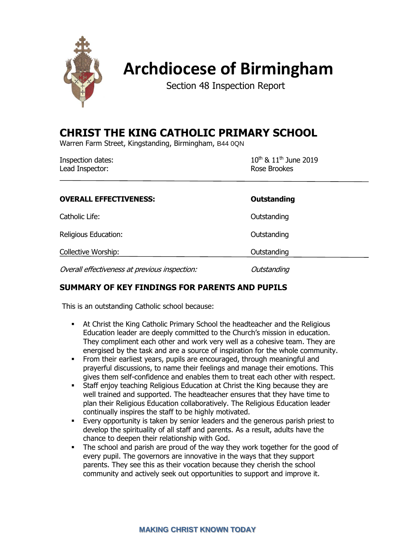

# **Archdiocese of Birmingham**

Section 48 Inspection Report

# **CHRIST THE KING CATHOLIC PRIMARY SCHOOL**

Warren Farm Street, Kingstanding, Birmingham, B44 0QN

| Inspection dates: | $10^{th}$ & $11^{th}$ June 2019 |
|-------------------|---------------------------------|
| Lead Inspector:   | Rose Brookes                    |

| <b>OVERALL EFFECTIVENESS:</b>                 | Outstanding |
|-----------------------------------------------|-------------|
| Catholic Life:                                | Outstanding |
| Religious Education:                          | Outstanding |
| Collective Worship:                           | Outstanding |
| Overall effectiveness at previous inspection: | Outstanding |

# **SUMMARY OF KEY FINDINGS FOR PARENTS AND PUPILS**

This is an outstanding Catholic school because:

- At Christ the King Catholic Primary School the headteacher and the Religious Education leader are deeply committed to the Church's mission in education. They compliment each other and work very well as a cohesive team. They are energised by the task and are a source of inspiration for the whole community.
- From their earliest years, pupils are encouraged, through meaningful and prayerful discussions, to name their feelings and manage their emotions. This gives them self-confidence and enables them to treat each other with respect.
- **EXECTE:** Staff enjoy teaching Religious Education at Christ the King because they are well trained and supported. The headteacher ensures that they have time to plan their Religious Education collaboratively. The Religious Education leader continually inspires the staff to be highly motivated.
- **Every opportunity is taken by senior leaders and the generous parish priest to** develop the spirituality of all staff and parents. As a result, adults have the chance to deepen their relationship with God.
- **•** The school and parish are proud of the way they work together for the good of every pupil. The governors are innovative in the ways that they support parents. They see this as their vocation because they cherish the school community and actively seek out opportunities to support and improve it.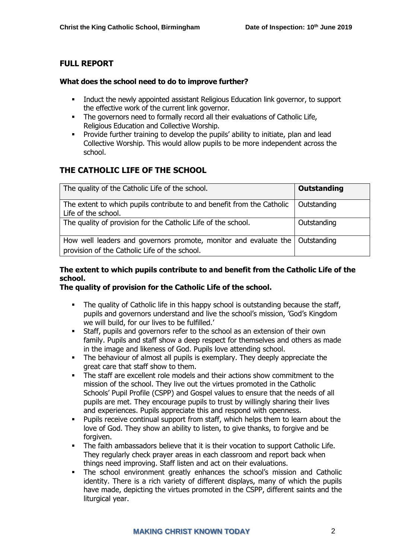# **FULL REPORT**

#### **What does the school need to do to improve further?**

- **•** Induct the newly appointed assistant Religious Education link governor, to support the effective work of the current link governor.
- **•** The governors need to formally record all their evaluations of Catholic Life, Religious Education and Collective Worship.
- Provide further training to develop the pupils' ability to initiate, plan and lead Collective Worship. This would allow pupils to be more independent across the school.

# **THE CATHOLIC LIFE OF THE SCHOOL**

| The quality of the Catholic Life of the school.                                                                                 | <b>Outstanding</b> |
|---------------------------------------------------------------------------------------------------------------------------------|--------------------|
| The extent to which pupils contribute to and benefit from the Catholic<br>Life of the school.                                   | Outstanding        |
| The quality of provision for the Catholic Life of the school.                                                                   | Outstanding        |
| How well leaders and governors promote, monitor and evaluate the   Outstanding<br>provision of the Catholic Life of the school. |                    |

### **The extent to which pupils contribute to and benefit from the Catholic Life of the school.**

#### **The quality of provision for the Catholic Life of the school.**

- The quality of Catholic life in this happy school is outstanding because the staff, pupils and governors understand and live the school's mission, 'God's Kingdom we will build, for our lives to be fulfilled.'
- Staff, pupils and governors refer to the school as an extension of their own family. Pupils and staff show a deep respect for themselves and others as made in the image and likeness of God. Pupils love attending school.
- **•** The behaviour of almost all pupils is exemplary. They deeply appreciate the great care that staff show to them.
- The staff are excellent role models and their actions show commitment to the mission of the school. They live out the virtues promoted in the Catholic Schools' Pupil Profile (CSPP) and Gospel values to ensure that the needs of all pupils are met. They encourage pupils to trust by willingly sharing their lives and experiences. Pupils appreciate this and respond with openness.
- Pupils receive continual support from staff, which helps them to learn about the love of God. They show an ability to listen, to give thanks, to forgive and be forgiven.
- The faith ambassadors believe that it is their vocation to support Catholic Life. They regularly check prayer areas in each classroom and report back when things need improving. Staff listen and act on their evaluations.
- The school environment greatly enhances the school's mission and Catholic identity. There is a rich variety of different displays, many of which the pupils have made, depicting the virtues promoted in the CSPP, different saints and the liturgical year.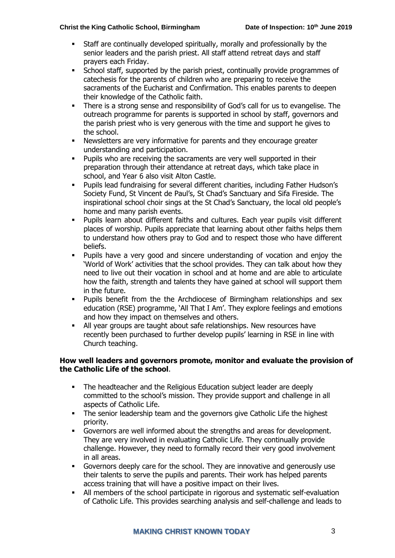#### **Christ the King Catholic School, Birmingham Date of Inspection: 10th June 2019**

- Staff are continually developed spiritually, morally and professionally by the senior leaders and the parish priest. All staff attend retreat days and staff prayers each Friday.
- School staff, supported by the parish priest, continually provide programmes of catechesis for the parents of children who are preparing to receive the sacraments of the Eucharist and Confirmation. This enables parents to deepen their knowledge of the Catholic faith.
- There is a strong sense and responsibility of God's call for us to evangelise. The outreach programme for parents is supported in school by staff, governors and the parish priest who is very generous with the time and support he gives to the school.
- Newsletters are very informative for parents and they encourage greater understanding and participation.
- Pupils who are receiving the sacraments are very well supported in their preparation through their attendance at retreat days, which take place in school, and Year 6 also visit Alton Castle.
- Pupils lead fundraising for several different charities, including Father Hudson's Society Fund, St Vincent de Paul's, St Chad's Sanctuary and Sifa Fireside. The inspirational school choir sings at the St Chad's Sanctuary, the local old people's home and many parish events.
- Pupils learn about different faiths and cultures. Each year pupils visit different places of worship. Pupils appreciate that learning about other faiths helps them to understand how others pray to God and to respect those who have different beliefs.
- Pupils have a very good and sincere understanding of vocation and enjoy the 'World of Work' activities that the school provides. They can talk about how they need to live out their vocation in school and at home and are able to articulate how the faith, strength and talents they have gained at school will support them in the future.
- Pupils benefit from the the Archdiocese of Birmingham relationships and sex education (RSE) programme, 'All That I Am'. They explore feelings and emotions and how they impact on themselves and others.
- All year groups are taught about safe relationships. New resources have recently been purchased to further develop pupils' learning in RSE in line with Church teaching.

#### **How well leaders and governors promote, monitor and evaluate the provision of the Catholic Life of the school**.

- The headteacher and the Religious Education subject leader are deeply committed to the school's mission. They provide support and challenge in all aspects of Catholic Life.
- **•** The senior leadership team and the governors give Catholic Life the highest priority.
- Governors are well informed about the strengths and areas for development. They are very involved in evaluating Catholic Life. They continually provide challenge. However, they need to formally record their very good involvement in all areas.
- Governors deeply care for the school. They are innovative and generously use their talents to serve the pupils and parents. Their work has helped parents access training that will have a positive impact on their lives.
- All members of the school participate in rigorous and systematic self-evaluation of Catholic Life. This provides searching analysis and self-challenge and leads to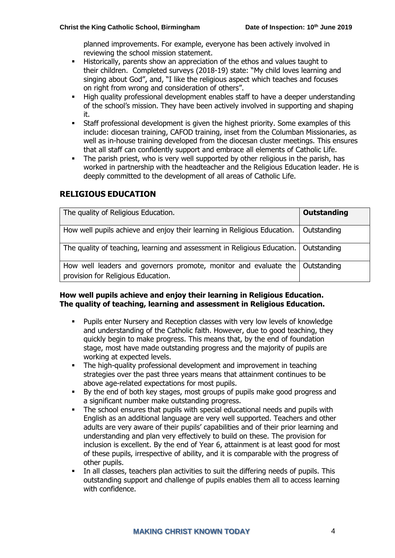planned improvements. For example, everyone has been actively involved in reviewing the school mission statement.

- Historically, parents show an appreciation of the ethos and values taught to their children. Completed surveys (2018-19) state: "My child loves learning and singing about God", and, "I like the religious aspect which teaches and focuses on right from wrong and consideration of others".
- High quality professional development enables staff to have a deeper understanding of the school's mission. They have been actively involved in supporting and shaping it.
- **•** Staff professional development is given the highest priority. Some examples of this include: diocesan training, CAFOD training, inset from the Columban Missionaries, as well as in-house training developed from the diocesan cluster meetings. This ensures that all staff can confidently support and embrace all elements of Catholic Life.
- The parish priest, who is very well supported by other religious in the parish, has worked in partnership with the headteacher and the Religious Education leader. He is deeply committed to the development of all areas of Catholic Life.

# **RELIGIOUS EDUCATION**

| The quality of Religious Education.                                                                                | Outstanding |
|--------------------------------------------------------------------------------------------------------------------|-------------|
| How well pupils achieve and enjoy their learning in Religious Education.                                           | Outstanding |
| The quality of teaching, learning and assessment in Religious Education.   Outstanding                             |             |
| How well leaders and governors promote, monitor and evaluate the Outstanding<br>provision for Religious Education. |             |

#### **How well pupils achieve and enjoy their learning in Religious Education. The quality of teaching, learning and assessment in Religious Education.**

- Pupils enter Nursery and Reception classes with very low levels of knowledge and understanding of the Catholic faith. However, due to good teaching, they quickly begin to make progress. This means that, by the end of foundation stage, most have made outstanding progress and the majority of pupils are working at expected levels.
- **•** The high-quality professional development and improvement in teaching strategies over the past three years means that attainment continues to be above age-related expectations for most pupils.
- By the end of both key stages, most groups of pupils make good progress and a significant number make outstanding progress.
- The school ensures that pupils with special educational needs and pupils with English as an additional language are very well supported. Teachers and other adults are very aware of their pupils' capabilities and of their prior learning and understanding and plan very effectively to build on these. The provision for inclusion is excellent. By the end of Year 6, attainment is at least good for most of these pupils, irrespective of ability, and it is comparable with the progress of other pupils.
- In all classes, teachers plan activities to suit the differing needs of pupils. This outstanding support and challenge of pupils enables them all to access learning with confidence.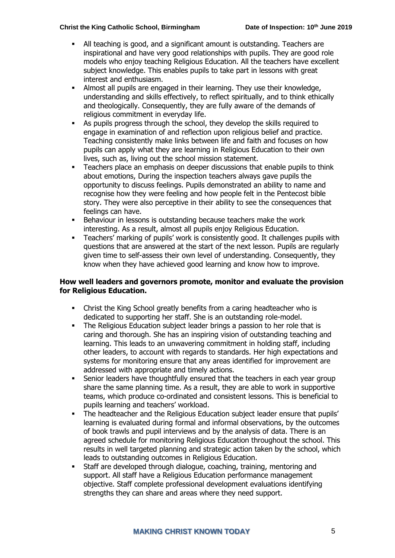#### **Christ the King Catholic School, Birmingham Date of Inspection: 10th June 2019**

- All teaching is good, and a significant amount is outstanding. Teachers are inspirational and have very good relationships with pupils. They are good role models who enjoy teaching Religious Education. All the teachers have excellent subject knowledge. This enables pupils to take part in lessons with great interest and enthusiasm.
- Almost all pupils are engaged in their learning. They use their knowledge, understanding and skills effectively, to reflect spiritually, and to think ethically and theologically. Consequently, they are fully aware of the demands of religious commitment in everyday life.
- As pupils progress through the school, they develop the skills required to engage in examination of and reflection upon religious belief and practice. Teaching consistently make links between life and faith and focuses on how pupils can apply what they are learning in Religious Education to their own lives, such as, living out the school mission statement.
- Teachers place an emphasis on deeper discussions that enable pupils to think about emotions, During the inspection teachers always gave pupils the opportunity to discuss feelings. Pupils demonstrated an ability to name and recognise how they were feeling and how people felt in the Pentecost bible story. They were also perceptive in their ability to see the consequences that feelings can have.
- **EXECTE FIGHAVIOUR IN LESSONS IS OUTSTANDING DECAUSE THEORY COOLS THE WORK** interesting. As a result, almost all pupils enjoy Religious Education.
- Teachers' marking of pupils' work is consistently good. It challenges pupils with questions that are answered at the start of the next lesson. Pupils are regularly given time to self-assess their own level of understanding. Consequently, they know when they have achieved good learning and know how to improve.

#### **How well leaders and governors promote, monitor and evaluate the provision for Religious Education.**

- Christ the King School greatly benefits from a caring headteacher who is dedicated to supporting her staff. She is an outstanding role-model.
- The Religious Education subject leader brings a passion to her role that is caring and thorough. She has an inspiring vision of outstanding teaching and learning. This leads to an unwavering commitment in holding staff, including other leaders, to account with regards to standards. Her high expectations and systems for monitoring ensure that any areas identified for improvement are addressed with appropriate and timely actions.
- Senior leaders have thoughtfully ensured that the teachers in each year group share the same planning time. As a result, they are able to work in supportive teams, which produce co-ordinated and consistent lessons. This is beneficial to pupils learning and teachers' workload.
- **•** The headteacher and the Religious Education subject leader ensure that pupils' learning is evaluated during formal and informal observations, by the outcomes of book trawls and pupil interviews and by the analysis of data. There is an agreed schedule for monitoring Religious Education throughout the school. This results in well targeted planning and strategic action taken by the school, which leads to outstanding outcomes in Religious Education.
- Staff are developed through dialogue, coaching, training, mentoring and support. All staff have a Religious Education performance management objective. Staff complete professional development evaluations identifying strengths they can share and areas where they need support.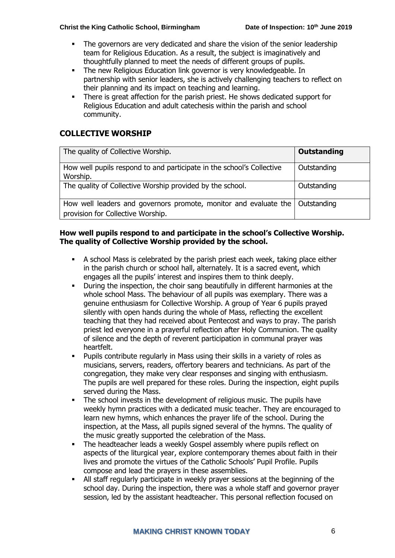#### **Christ the King Catholic School, Birmingham Date of Inspection: 10th June 2019**

- The governors are very dedicated and share the vision of the senior leadership team for Religious Education. As a result, the subject is imaginatively and thoughtfully planned to meet the needs of different groups of pupils.
- **The new Religious Education link governor is very knowledgeable. In** partnership with senior leaders, she is actively challenging teachers to reflect on their planning and its impact on teaching and learning.
- There is great affection for the parish priest. He shows dedicated support for Religious Education and adult catechesis within the parish and school community.

# **COLLECTIVE WORSHIP**

| The quality of Collective Worship.                                                                                  | Outstanding |
|---------------------------------------------------------------------------------------------------------------------|-------------|
| How well pupils respond to and participate in the school's Collective<br>Worship.                                   | Outstanding |
| The quality of Collective Worship provided by the school.                                                           | Outstanding |
| How well leaders and governors promote, monitor and evaluate the   Outstanding<br>provision for Collective Worship. |             |

#### **How well pupils respond to and participate in the school's Collective Worship. The quality of Collective Worship provided by the school.**

- A school Mass is celebrated by the parish priest each week, taking place either in the parish church or school hall, alternately. It is a sacred event, which engages all the pupils' interest and inspires them to think deeply.
- **•** During the inspection, the choir sang beautifully in different harmonies at the whole school Mass. The behaviour of all pupils was exemplary. There was a genuine enthusiasm for Collective Worship. A group of Year 6 pupils prayed silently with open hands during the whole of Mass, reflecting the excellent teaching that they had received about Pentecost and ways to pray. The parish priest led everyone in a prayerful reflection after Holy Communion. The quality of silence and the depth of reverent participation in communal prayer was heartfelt.
- Pupils contribute regularly in Mass using their skills in a variety of roles as musicians, servers, readers, offertory bearers and technicians. As part of the congregation, they make very clear responses and singing with enthusiasm. The pupils are well prepared for these roles. During the inspection, eight pupils served during the Mass.
- The school invests in the development of religious music. The pupils have weekly hymn practices with a dedicated music teacher. They are encouraged to learn new hymns, which enhances the prayer life of the school. During the inspection, at the Mass, all pupils signed several of the hymns. The quality of the music greatly supported the celebration of the Mass.
- **•** The headteacher leads a weekly Gospel assembly where pupils reflect on aspects of the liturgical year, explore contemporary themes about faith in their lives and promote the virtues of the Catholic Schools' Pupil Profile. Pupils compose and lead the prayers in these assemblies.
- All staff regularly participate in weekly prayer sessions at the beginning of the school day. During the inspection, there was a whole staff and governor prayer session, led by the assistant headteacher. This personal reflection focused on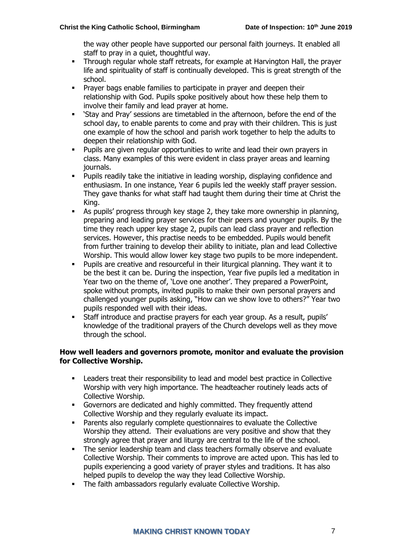the way other people have supported our personal faith journeys. It enabled all staff to pray in a quiet, thoughtful way.

- **•** Through regular whole staff retreats, for example at Harvington Hall, the prayer life and spirituality of staff is continually developed. This is great strength of the school.
- **•** Prayer bags enable families to participate in prayer and deepen their relationship with God. Pupils spoke positively about how these help them to involve their family and lead prayer at home.
- 'Stay and Pray' sessions are timetabled in the afternoon, before the end of the school day, to enable parents to come and pray with their children. This is just one example of how the school and parish work together to help the adults to deepen their relationship with God.
- Pupils are given regular opportunities to write and lead their own prayers in class. Many examples of this were evident in class prayer areas and learning journals.
- Pupils readily take the initiative in leading worship, displaying confidence and enthusiasm. In one instance, Year 6 pupils led the weekly staff prayer session. They gave thanks for what staff had taught them during their time at Christ the King.
- As pupils' progress through key stage 2, they take more ownership in planning, preparing and leading prayer services for their peers and younger pupils. By the time they reach upper key stage 2, pupils can lead class prayer and reflection services. However, this practise needs to be embedded. Pupils would benefit from further training to develop their ability to initiate, plan and lead Collective Worship. This would allow lower key stage two pupils to be more independent.
- Pupils are creative and resourceful in their liturgical planning. They want it to be the best it can be. During the inspection, Year five pupils led a meditation in Year two on the theme of, 'Love one another'. They prepared a PowerPoint, spoke without prompts, invited pupils to make their own personal prayers and challenged younger pupils asking, "How can we show love to others?" Year two pupils responded well with their ideas.
- Staff introduce and practise prayers for each year group. As a result, pupils' knowledge of the traditional prayers of the Church develops well as they move through the school.

#### **How well leaders and governors promote, monitor and evaluate the provision for Collective Worship.**

- Leaders treat their responsibility to lead and model best practice in Collective Worship with very high importance. The headteacher routinely leads acts of Collective Worship.
- Governors are dedicated and highly committed. They frequently attend Collective Worship and they regularly evaluate its impact.
- Parents also regularly complete questionnaires to evaluate the Collective Worship they attend. Their evaluations are very positive and show that they strongly agree that prayer and liturgy are central to the life of the school.
- **•** The senior leadership team and class teachers formally observe and evaluate Collective Worship. Their comments to improve are acted upon. This has led to pupils experiencing a good variety of prayer styles and traditions. It has also helped pupils to develop the way they lead Collective Worship.
- The faith ambassadors regularly evaluate Collective Worship.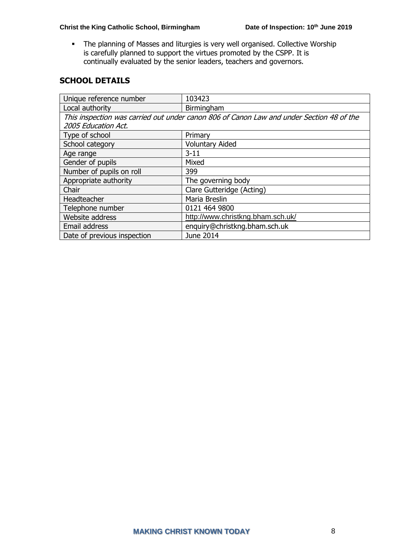▪ The planning of Masses and liturgies is very well organised. Collective Worship is carefully planned to support the virtues promoted by the CSPP. It is continually evaluated by the senior leaders, teachers and governors.

# **SCHOOL DETAILS**

| Unique reference number                                                                  | 103423                            |  |
|------------------------------------------------------------------------------------------|-----------------------------------|--|
| Local authority                                                                          | Birmingham                        |  |
| This inspection was carried out under canon 806 of Canon Law and under Section 48 of the |                                   |  |
| 2005 Education Act.                                                                      |                                   |  |
| Type of school                                                                           | Primary                           |  |
| School category                                                                          | <b>Voluntary Aided</b>            |  |
| Age range                                                                                | $3 - 11$                          |  |
| Gender of pupils                                                                         | Mixed                             |  |
| Number of pupils on roll                                                                 | 399                               |  |
| Appropriate authority                                                                    | The governing body                |  |
| Chair                                                                                    | Clare Gutteridge (Acting)         |  |
| Headteacher                                                                              | Maria Breslin                     |  |
| Telephone number                                                                         | 0121 464 9800                     |  |
| Website address                                                                          | http://www.christkng.bham.sch.uk/ |  |
| Email address                                                                            | enquiry@christkng.bham.sch.uk     |  |
| Date of previous inspection                                                              | June 2014                         |  |